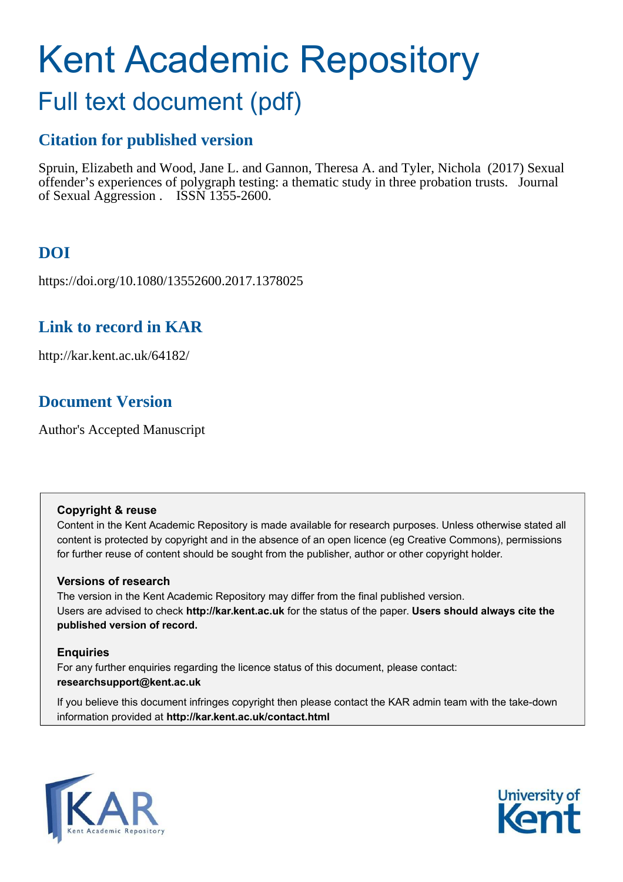# Kent Academic Repository

## Full text document (pdf)

### **Citation for published version**

Spruin, Elizabeth and Wood, Jane L. and Gannon, Theresa A. and Tyler, Nichola (2017) Sexual offender's experiences of polygraph testing: a thematic study in three probation trusts. Journal of Sexual Aggression . ISSN 1355-2600.

### **DOI**

https://doi.org/10.1080/13552600.2017.1378025

### **Link to record in KAR**

http://kar.kent.ac.uk/64182/

### **Document Version**

Author's Accepted Manuscript

### **Copyright & reuse**

Content in the Kent Academic Repository is made available for research purposes. Unless otherwise stated all content is protected by copyright and in the absence of an open licence (eg Creative Commons), permissions for further reuse of content should be sought from the publisher, author or other copyright holder.

### **Versions of research**

The version in the Kent Academic Repository may differ from the final published version. Users are advised to check **http://kar.kent.ac.uk** for the status of the paper. **Users should always cite the published version of record.**

### **Enquiries**

For any further enquiries regarding the licence status of this document, please contact: **researchsupport@kent.ac.uk**

If you believe this document infringes copyright then please contact the KAR admin team with the take-down information provided at **http://kar.kent.ac.uk/contact.html**



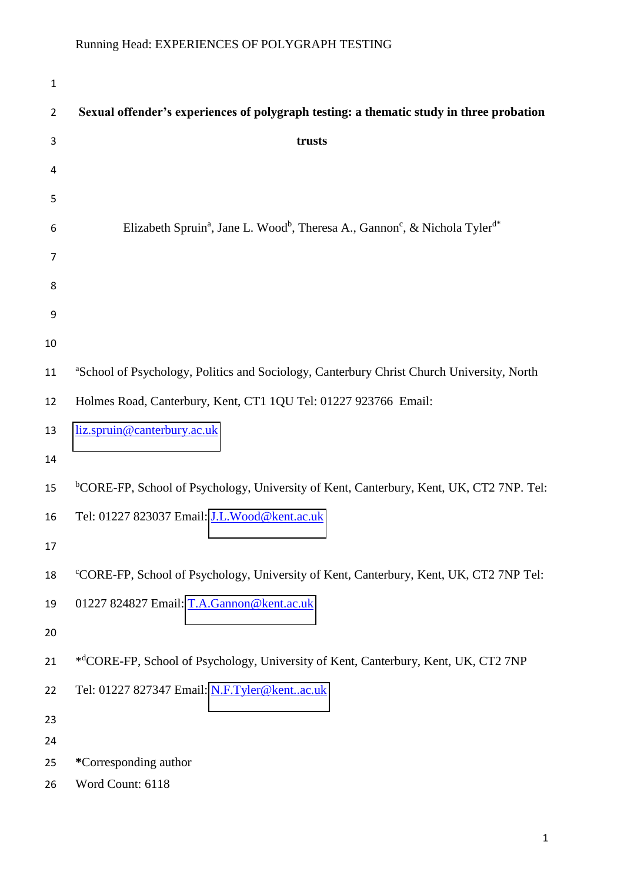| $\mathbf{1}$   |                                                                                                                             |
|----------------|-----------------------------------------------------------------------------------------------------------------------------|
| $\overline{2}$ | Sexual offender's experiences of polygraph testing: a thematic study in three probation                                     |
| 3              | trusts                                                                                                                      |
| 4              |                                                                                                                             |
| 5              |                                                                                                                             |
| 6              | Elizabeth Spruin <sup>a</sup> , Jane L. Wood <sup>b</sup> , Theresa A., Gannon <sup>c</sup> , & Nichola Tyler <sup>d*</sup> |
| 7              |                                                                                                                             |
| 8              |                                                                                                                             |
| 9              |                                                                                                                             |
| 10             |                                                                                                                             |
| 11             | <sup>a</sup> School of Psychology, Politics and Sociology, Canterbury Christ Church University, North                       |
| 12             | Holmes Road, Canterbury, Kent, CT1 1QU Tel: 01227 923766 Email:                                                             |
| 13             | liz.spruin@canterbury.ac.uk                                                                                                 |
| 14             |                                                                                                                             |
| 15             | <sup>b</sup> CORE-FP, School of Psychology, University of Kent, Canterbury, Kent, UK, CT2 7NP. Tel:                         |
| 16             | Tel: 01227 823037 Email: J.L.Wood@kent.ac.uk                                                                                |
| 17             |                                                                                                                             |
| 18             | "CORE-FP, School of Psychology, University of Kent, Canterbury, Kent, UK, CT2 7NP Tel:                                      |
| 19             | 01227 824827 Email: T.A.Gannon@kent.ac.uk                                                                                   |
| 20             |                                                                                                                             |
| 21             | *dCORE-FP, School of Psychology, University of Kent, Canterbury, Kent, UK, CT2 7NP                                          |
| 22             | Tel: 01227 827347 Email: N.F.Tyler@kentac.uk                                                                                |
| 23             |                                                                                                                             |
| 24             |                                                                                                                             |
| 25             | *Corresponding author                                                                                                       |
| 26             | Word Count: 6118                                                                                                            |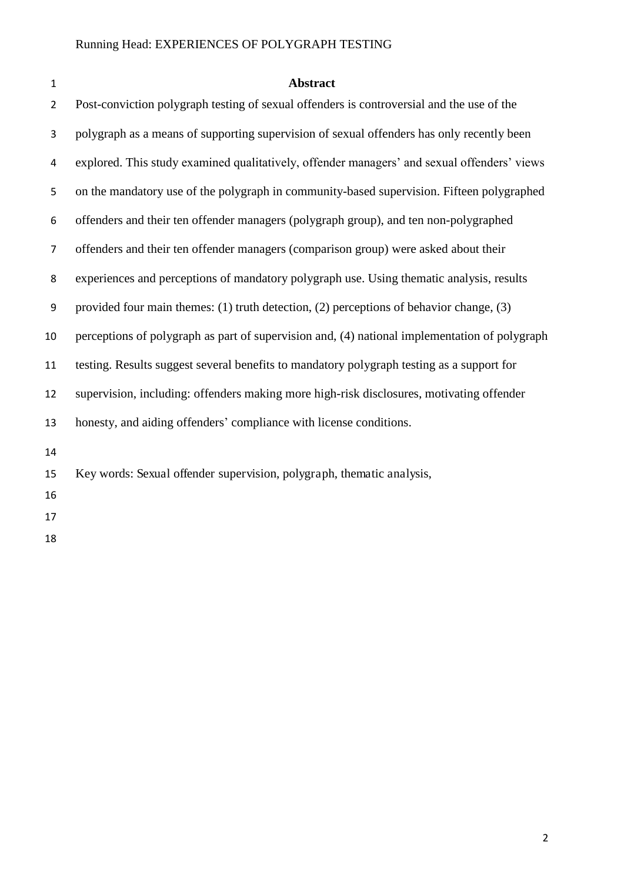- **Abstract**  Post-conviction polygraph testing of sexual offenders is controversial and the use of the polygraph as a means of supporting supervision of sexual offenders has only recently been explored. This study examined qualitatively, offender managers' and sexual offenders' views on the mandatory use of the polygraph in community-based supervision. Fifteen polygraphed offenders and their ten offender managers (polygraph group), and ten non-polygraphed offenders and their ten offender managers (comparison group) were asked about their experiences and perceptions of mandatory polygraph use. Using thematic analysis, results provided four main themes: (1) truth detection, (2) perceptions of behavior change, (3) perceptions of polygraph as part of supervision and, (4) national implementation of polygraph testing. Results suggest several benefits to mandatory polygraph testing as a support for supervision, including: offenders making more high-risk disclosures, motivating offender honesty, and aiding offenders' compliance with license conditions. Key words: Sexual offender supervision, polygraph, thematic analysis,
-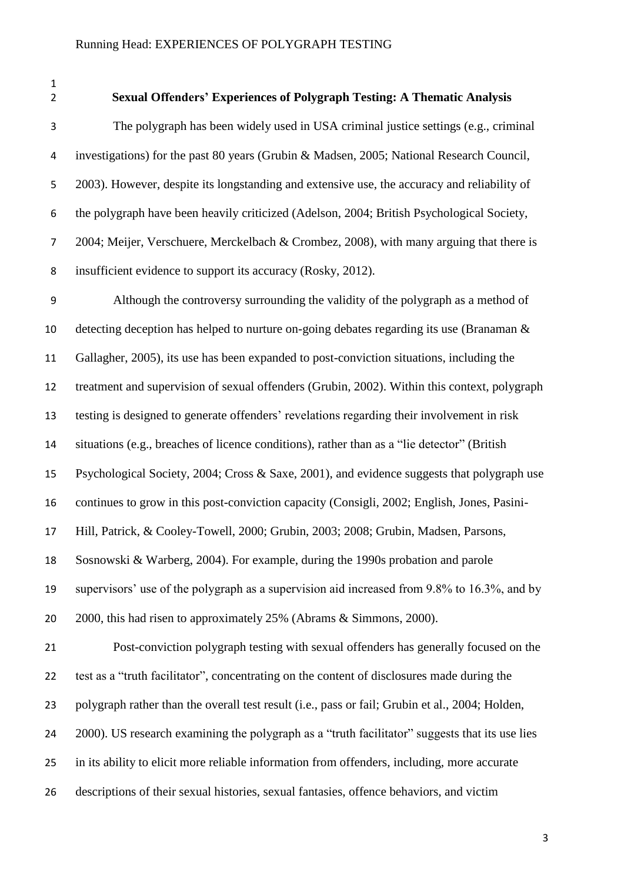#### **Sexual Offenders' Experiences of Polygraph Testing: A Thematic Analysis**

The polygraph has been widely used in USA criminal justice settings (e.g., criminal investigations) for the past 80 years (Grubin & Madsen, 2005; National Research Council, 2003). However, despite its longstanding and extensive use, the accuracy and reliability of the polygraph have been heavily criticized (Adelson, 2004; British Psychological Society, 2004; Meijer, Verschuere, Merckelbach & Crombez, 2008), with many arguing that there is 8 insufficient evidence to support its accuracy (Rosky, 2012).

Although the controversy surrounding the validity of the polygraph as a method of detecting deception has helped to nurture on-going debates regarding its use (Branaman & Gallagher, 2005), its use has been expanded to post-conviction situations, including the treatment and supervision of sexual offenders (Grubin, 2002). Within this context, polygraph testing is designed to generate offenders' revelations regarding their involvement in risk situations (e.g., breaches of licence conditions), rather than as a "lie detector" (British Psychological Society, 2004; Cross & Saxe, 2001), and evidence suggests that polygraph use continues to grow in this post-conviction capacity (Consigli, 2002; English, Jones, Pasini- Hill, Patrick, & Cooley-Towell, 2000; Grubin, 2003; 2008; Grubin, Madsen, Parsons, Sosnowski & Warberg, 2004). For example, during the 1990s probation and parole supervisors' use of the polygraph as a supervision aid increased from 9.8% to 16.3%, and by 2000, this had risen to approximately 25% (Abrams & Simmons, 2000). Post-conviction polygraph testing with sexual offenders has generally focused on the test as a "truth facilitator", concentrating on the content of disclosures made during the polygraph rather than the overall test result (i.e., pass or fail; Grubin et al., 2004; Holden, 2000). US research examining the polygraph as a "truth facilitator" suggests that its use lies in its ability to elicit more reliable information from offenders, including, more accurate descriptions of their sexual histories, sexual fantasies, offence behaviors, and victim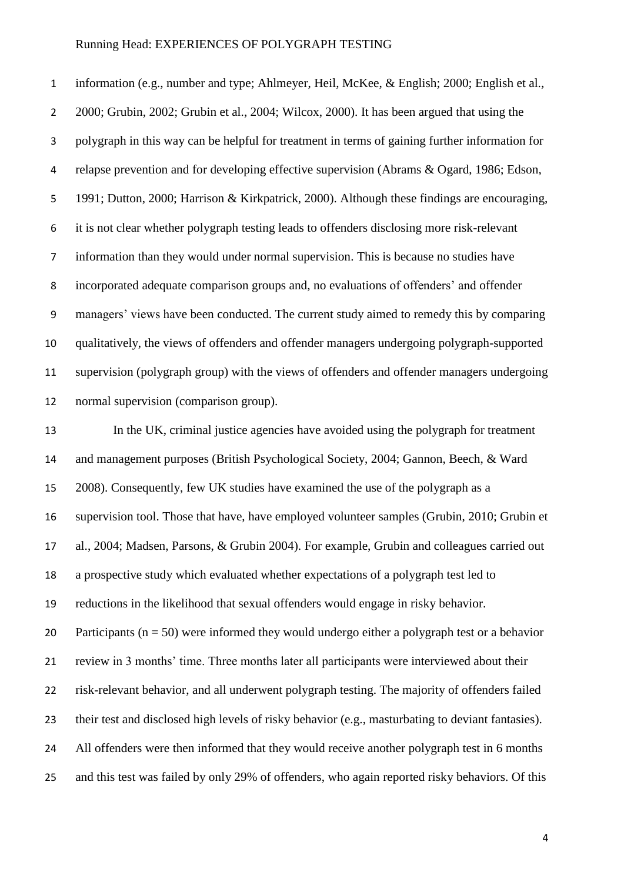information (e.g., number and type; Ahlmeyer, Heil, McKee, & English; 2000; English et al., 2000; Grubin, 2002; Grubin et al., 2004; Wilcox, 2000). It has been argued that using the polygraph in this way can be helpful for treatment in terms of gaining further information for relapse prevention and for developing effective supervision (Abrams & Ogard, 1986; Edson, 1991; Dutton, 2000; Harrison & Kirkpatrick, 2000). Although these findings are encouraging, it is not clear whether polygraph testing leads to offenders disclosing more risk-relevant information than they would under normal supervision. This is because no studies have incorporated adequate comparison groups and, no evaluations of offenders' and offender managers' views have been conducted. The current study aimed to remedy this by comparing qualitatively, the views of offenders and offender managers undergoing polygraph-supported supervision (polygraph group) with the views of offenders and offender managers undergoing normal supervision (comparison group).

 In the UK, criminal justice agencies have avoided using the polygraph for treatment and management purposes (British Psychological Society, 2004; Gannon, Beech, & Ward 2008). Consequently, few UK studies have examined the use of the polygraph as a supervision tool. Those that have, have employed volunteer samples (Grubin, 2010; Grubin et al., 2004; Madsen, Parsons, & Grubin 2004). For example, Grubin and colleagues carried out a prospective study which evaluated whether expectations of a polygraph test led to reductions in the likelihood that sexual offenders would engage in risky behavior. 20 Participants ( $n = 50$ ) were informed they would undergo either a polygraph test or a behavior review in 3 months' time. Three months later all participants were interviewed about their risk-relevant behavior, and all underwent polygraph testing. The majority of offenders failed their test and disclosed high levels of risky behavior (e.g., masturbating to deviant fantasies). All offenders were then informed that they would receive another polygraph test in 6 months and this test was failed by only 29% of offenders, who again reported risky behaviors. Of this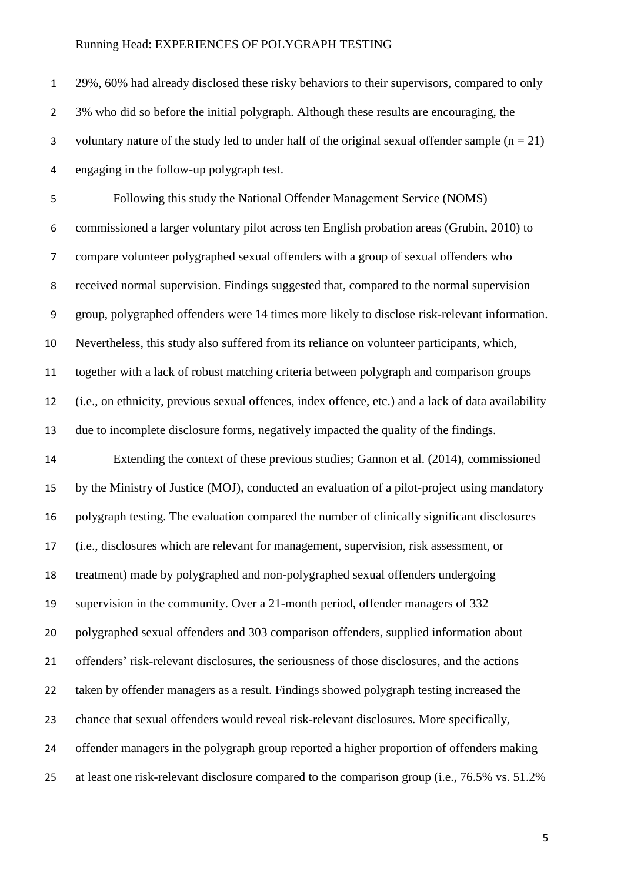29%, 60% had already disclosed these risky behaviors to their supervisors, compared to only 3% who did so before the initial polygraph. Although these results are encouraging, the 3 voluntary nature of the study led to under half of the original sexual offender sample  $(n = 21)$ engaging in the follow-up polygraph test.

Following this study the National Offender Management Service (NOMS) commissioned a larger voluntary pilot across ten English probation areas (Grubin, 2010) to compare volunteer polygraphed sexual offenders with a group of sexual offenders who received normal supervision. Findings suggested that, compared to the normal supervision group, polygraphed offenders were 14 times more likely to disclose risk-relevant information. Nevertheless, this study also suffered from its reliance on volunteer participants, which, together with a lack of robust matching criteria between polygraph and comparison groups (i.e., on ethnicity, previous sexual offences, index offence, etc.) and a lack of data availability due to incomplete disclosure forms, negatively impacted the quality of the findings.

 Extending the context of these previous studies; Gannon et al. (2014), commissioned by the Ministry of Justice (MOJ), conducted an evaluation of a pilot-project using mandatory polygraph testing. The evaluation compared the number of clinically significant disclosures (i.e., disclosures which are relevant for management, supervision, risk assessment, or treatment) made by polygraphed and non-polygraphed sexual offenders undergoing supervision in the community. Over a 21-month period, offender managers of 332 polygraphed sexual offenders and 303 comparison offenders, supplied information about offenders' risk-relevant disclosures, the seriousness of those disclosures, and the actions taken by offender managers as a result. Findings showed polygraph testing increased the chance that sexual offenders would reveal risk-relevant disclosures. More specifically, offender managers in the polygraph group reported a higher proportion of offenders making at least one risk-relevant disclosure compared to the comparison group (i.e., 76.5% vs. 51.2%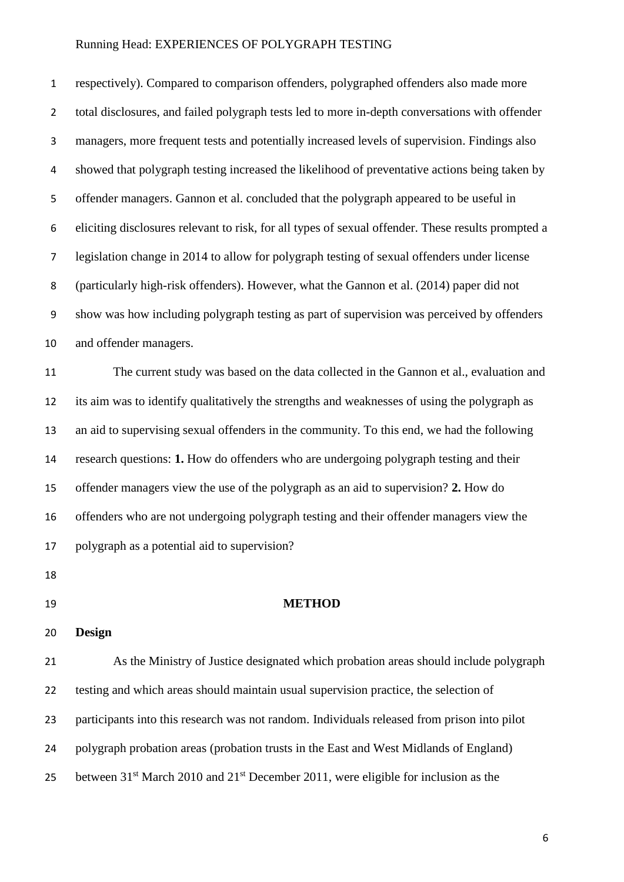respectively). Compared to comparison offenders, polygraphed offenders also made more total disclosures, and failed polygraph tests led to more in-depth conversations with offender managers, more frequent tests and potentially increased levels of supervision. Findings also showed that polygraph testing increased the likelihood of preventative actions being taken by offender managers. Gannon et al. concluded that the polygraph appeared to be useful in eliciting disclosures relevant to risk, for all types of sexual offender. These results prompted a legislation change in 2014 to allow for polygraph testing of sexual offenders under license (particularly high-risk offenders). However, what the Gannon et al. (2014) paper did not show was how including polygraph testing as part of supervision was perceived by offenders and offender managers. The current study was based on the data collected in the Gannon et al., evaluation and its aim was to identify qualitatively the strengths and weaknesses of using the polygraph as an aid to supervising sexual offenders in the community. To this end, we had the following research questions: **1.** How do offenders who are undergoing polygraph testing and their offender managers view the use of the polygraph as an aid to supervision? **2.** How do offenders who are not undergoing polygraph testing and their offender managers view the polygraph as a potential aid to supervision? **METHOD Design**  As the Ministry of Justice designated which probation areas should include polygraph testing and which areas should maintain usual supervision practice, the selection of participants into this research was not random. Individuals released from prison into pilot

polygraph probation areas (probation trusts in the East and West Midlands of England)

25 between  $31<sup>st</sup>$  March 2010 and  $21<sup>st</sup>$  December 2011, were eligible for inclusion as the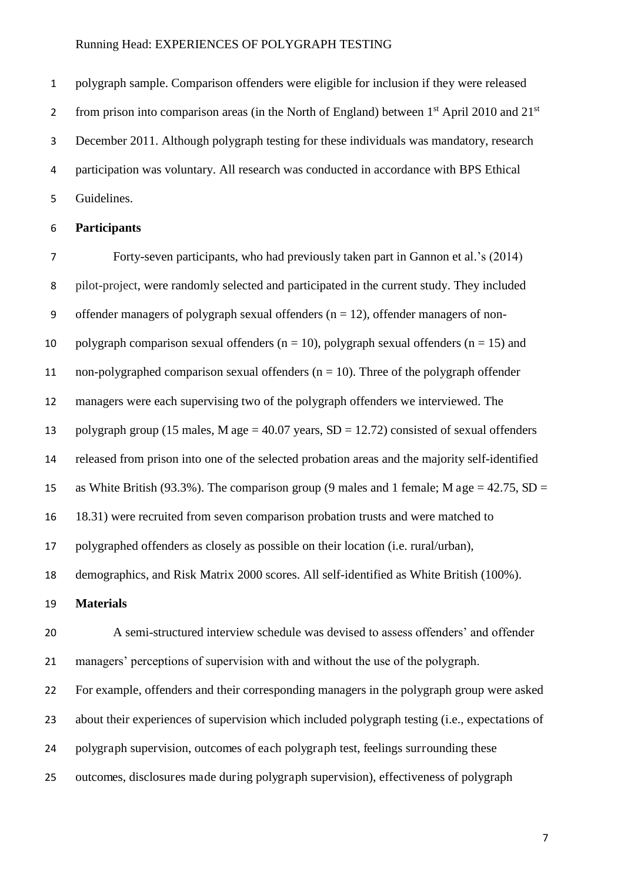polygraph sample. Comparison offenders were eligible for inclusion if they were released 2 from prison into comparison areas (in the North of England) between  $1<sup>st</sup>$  April 2010 and  $21<sup>st</sup>$ December 2011. Although polygraph testing for these individuals was mandatory, research participation was voluntary. All research was conducted in accordance with BPS Ethical Guidelines.

### **Participants**

Forty-seven participants, who had previously taken part in Gannon et al.'s (2014) pilot-project, were randomly selected and participated in the current study. They included 9 offender managers of polygraph sexual offenders  $(n = 12)$ , offender managers of non-10 polygraph comparison sexual offenders ( $n = 10$ ), polygraph sexual offenders ( $n = 15$ ) and 11 non-polygraphed comparison sexual offenders  $(n = 10)$ . Three of the polygraph offender managers were each supervising two of the polygraph offenders we interviewed. The 13 polygraph group (15 males, M age  $=$  40.07 years, SD  $=$  12.72) consisted of sexual offenders released from prison into one of the selected probation areas and the majority self-identified 15 as White British (93.3%). The comparison group (9 males and 1 female; M age  $= 42.75$ , SD  $=$  18.31) were recruited from seven comparison probation trusts and were matched to polygraphed offenders as closely as possible on their location (i.e. rural/urban), demographics, and Risk Matrix 2000 scores. All self-identified as White British (100%). **Materials** A semi-structured interview schedule was devised to assess offenders' and offender managers' perceptions of supervision with and without the use of the polygraph. For example, offenders and their corresponding managers in the polygraph group were asked about their experiences of supervision which included polygraph testing (i.e., expectations of polygraph supervision, outcomes of each polygraph test, feelings surrounding these

outcomes, disclosures made during polygraph supervision), effectiveness of polygraph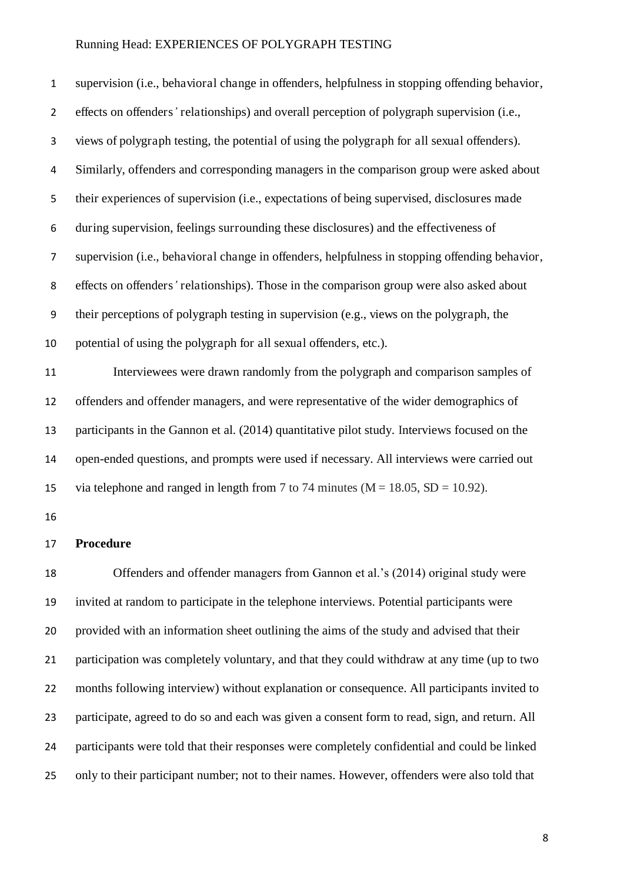supervision (i.e., behavioral change in offenders, helpfulness in stopping offending behavior, effects on offenders*'* relationships) and overall perception of polygraph supervision (i.e., views of polygraph testing, the potential of using the polygraph for all sexual offenders). Similarly, offenders and corresponding managers in the comparison group were asked about their experiences of supervision (i.e., expectations of being supervised, disclosures made during supervision, feelings surrounding these disclosures) and the effectiveness of supervision (i.e., behavioral change in offenders, helpfulness in stopping offending behavior, effects on offenders*'* relationships). Those in the comparison group were also asked about their perceptions of polygraph testing in supervision (e.g., views on the polygraph, the potential of using the polygraph for all sexual offenders, etc.). Interviewees were drawn randomly from the polygraph and comparison samples of

 offenders and offender managers, and were representative of the wider demographics of participants in the Gannon et al. (2014) quantitative pilot study. Interviews focused on the open-ended questions, and prompts were used if necessary. All interviews were carried out 15 via telephone and ranged in length from 7 to 74 minutes  $(M = 18.05, SD = 10.92)$ .

#### **Procedure**

 Offenders and offender managers from Gannon et al.'s (2014) original study were invited at random to participate in the telephone interviews. Potential participants were provided with an information sheet outlining the aims of the study and advised that their participation was completely voluntary, and that they could withdraw at any time (up to two months following interview) without explanation or consequence. All participants invited to participate, agreed to do so and each was given a consent form to read, sign, and return. All participants were told that their responses were completely confidential and could be linked only to their participant number; not to their names. However, offenders were also told that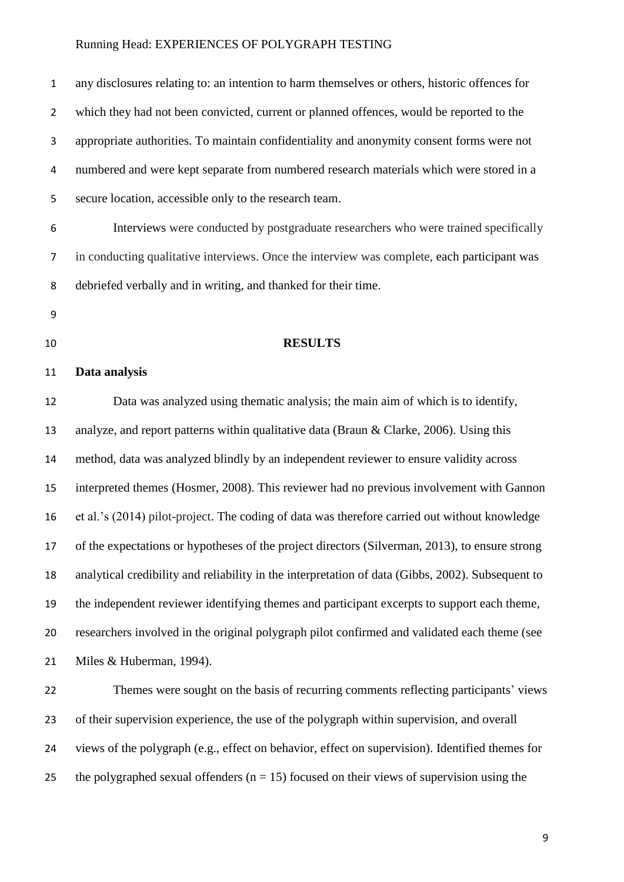any disclosures relating to: an intention to harm themselves or others, historic offences for which they had not been convicted, current or planned offences, would be reported to the appropriate authorities. To maintain confidentiality and anonymity consent forms were not numbered and were kept separate from numbered research materials which were stored in a secure location, accessible only to the research team.

Interviews were conducted by postgraduate researchers who were trained specifically in conducting qualitative interviews. Once the interview was complete, each participant was debriefed verbally and in writing, and thanked for their time.

- 
- 

#### **RESULTS**

#### **Data analysis**

 Data was analyzed using thematic analysis; the main aim of which is to identify, analyze, and report patterns within qualitative data (Braun & Clarke, 2006). Using this method, data was analyzed blindly by an independent reviewer to ensure validity across interpreted themes (Hosmer, 2008). This reviewer had no previous involvement with Gannon et al.'s (2014) pilot-project. The coding of data was therefore carried out without knowledge of the expectations or hypotheses of the project directors (Silverman, 2013), to ensure strong analytical credibility and reliability in the interpretation of data (Gibbs, 2002). Subsequent to the independent reviewer identifying themes and participant excerpts to support each theme, researchers involved in the original polygraph pilot confirmed and validated each theme (see Miles & Huberman, 1994).

 Themes were sought on the basis of recurring comments reflecting participants' views of their supervision experience, the use of the polygraph within supervision, and overall views of the polygraph (e.g., effect on behavior, effect on supervision). Identified themes for 25 the polygraphed sexual offenders ( $n = 15$ ) focused on their views of supervision using the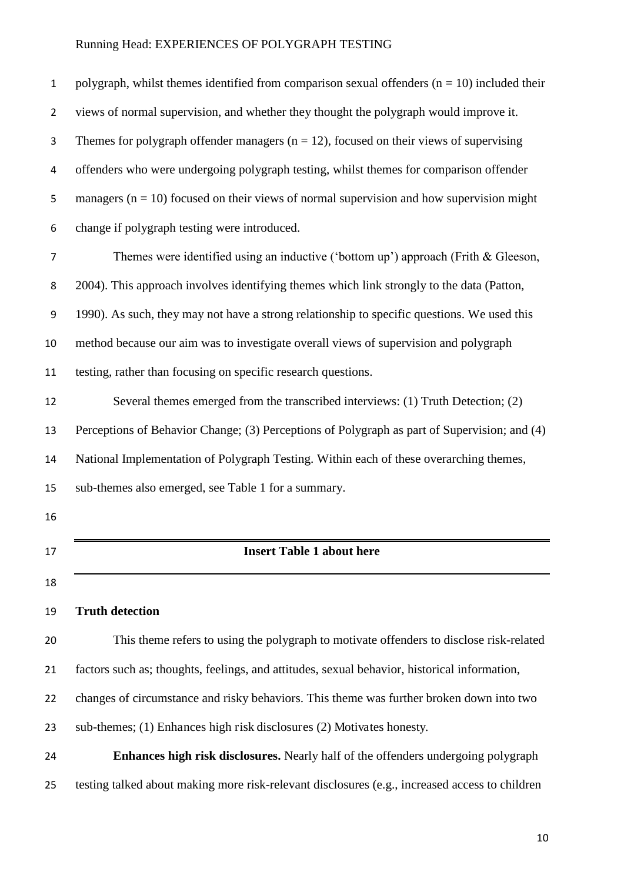| $\mathbf{1}$   | polygraph, whilst themes identified from comparison sexual offenders $(n = 10)$ included their |
|----------------|------------------------------------------------------------------------------------------------|
| $\overline{2}$ | views of normal supervision, and whether they thought the polygraph would improve it.          |
| 3              | Themes for polygraph offender managers $(n = 12)$ , focused on their views of supervising      |
| 4              | offenders who were undergoing polygraph testing, whilst themes for comparison offender         |
| 5              | managers ( $n = 10$ ) focused on their views of normal supervision and how supervision might   |
| 6              | change if polygraph testing were introduced.                                                   |
| 7              | Themes were identified using an inductive ('bottom up') approach (Frith & Gleeson,             |
| 8              | 2004). This approach involves identifying themes which link strongly to the data (Patton,      |
| 9              | 1990). As such, they may not have a strong relationship to specific questions. We used this    |
| 10             | method because our aim was to investigate overall views of supervision and polygraph           |
| 11             | testing, rather than focusing on specific research questions.                                  |
| 12             | Several themes emerged from the transcribed interviews: (1) Truth Detection; (2)               |
| 13             | Perceptions of Behavior Change; (3) Perceptions of Polygraph as part of Supervision; and (4)   |
| 14             | National Implementation of Polygraph Testing. Within each of these overarching themes,         |
| 15             | sub-themes also emerged, see Table 1 for a summary.                                            |
| 16             |                                                                                                |
| 17             | <b>Insert Table 1 about here</b>                                                               |
| 18             |                                                                                                |
| 19             | <b>Truth detection</b>                                                                         |
| 20             | This theme refers to using the polygraph to motivate offenders to disclose risk-related        |
| 21             | factors such as; thoughts, feelings, and attitudes, sexual behavior, historical information,   |
| 22             | changes of circumstance and risky behaviors. This theme was further broken down into two       |
| 23             | sub-themes; (1) Enhances high risk disclosures (2) Motivates honesty.                          |
| 24             | Enhances high risk disclosures. Nearly half of the offenders undergoing polygraph              |
| 25             | testing talked about making more risk-relevant disclosures (e.g., increased access to children |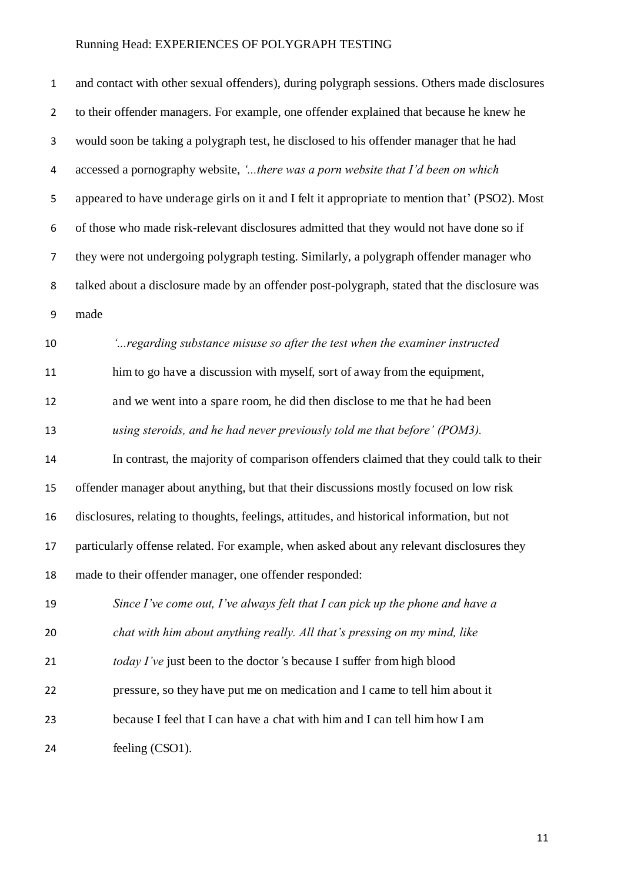| $\mathbf 1$    | and contact with other sexual offenders), during polygraph sessions. Others made disclosures  |
|----------------|-----------------------------------------------------------------------------------------------|
| $\overline{2}$ | to their offender managers. For example, one offender explained that because he knew he       |
| 3              | would soon be taking a polygraph test, he disclosed to his offender manager that he had       |
| 4              | accessed a pornography website, 'there was a porn website that I'd been on which              |
| 5              | appeared to have underage girls on it and I felt it appropriate to mention that' (PSO2). Most |
| 6              | of those who made risk-relevant disclosures admitted that they would not have done so if      |
| $\overline{7}$ | they were not undergoing polygraph testing. Similarly, a polygraph offender manager who       |
| 8              | talked about a disclosure made by an offender post-polygraph, stated that the disclosure was  |
| 9              | made                                                                                          |
| 10             | ' regarding substance misuse so after the test when the examiner instructed                   |
| 11             | him to go have a discussion with myself, sort of away from the equipment,                     |
| 12             | and we went into a spare room, he did then disclose to me that he had been                    |
| 13             | using steroids, and he had never previously told me that before' (POM3).                      |
| 14             | In contrast, the majority of comparison offenders claimed that they could talk to their       |
| 15             | offender manager about anything, but that their discussions mostly focused on low risk        |
| 16             | disclosures, relating to thoughts, feelings, attitudes, and historical information, but not   |
| 17             | particularly offense related. For example, when asked about any relevant disclosures they     |
| 18             | made to their offender manager, one offender responded:                                       |
| 19             | Since I've come out, I've always felt that I can pick up the phone and have a                 |
| 20             | chat with him about anything really. All that's pressing on my mind, like                     |
| 21             | today I've just been to the doctor's because I suffer from high blood                         |
| 22             | pressure, so they have put me on medication and I came to tell him about it                   |
| 23             | because I feel that I can have a chat with him and I can tell him how I am                    |
| 24             | feeling (CSO1).                                                                               |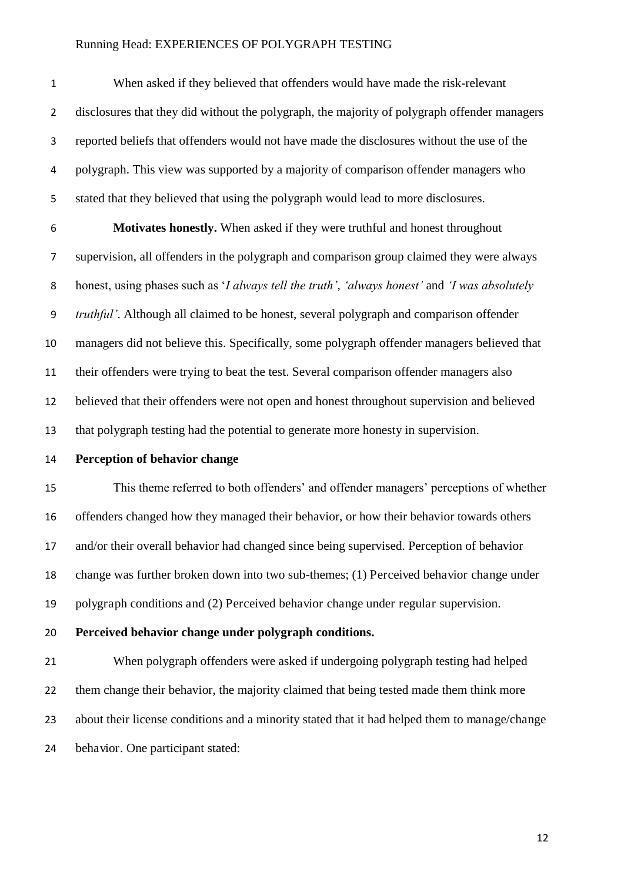When asked if they believed that offenders would have made the risk-relevant disclosures that they did without the polygraph, the majority of polygraph offender managers reported beliefs that offenders would not have made the disclosures without the use of the polygraph. This view was supported by a majority of comparison offender managers who stated that they believed that using the polygraph would lead to more disclosures.

**Motivates honestly.** When asked if they were truthful and honest throughout supervision, all offenders in the polygraph and comparison group claimed they were always honest, using phases such as '*I always tell the truth'*, *'always honest'* and *'I was absolutely truthful'*. Although all claimed to be honest, several polygraph and comparison offender managers did not believe this. Specifically, some polygraph offender managers believed that their offenders were trying to beat the test. Several comparison offender managers also believed that their offenders were not open and honest throughout supervision and believed that polygraph testing had the potential to generate more honesty in supervision.

**Perception of behavior change** 

 This theme referred to both offenders' and offender managers' perceptions of whether offenders changed how they managed their behavior, or how their behavior towards others and/or their overall behavior had changed since being supervised. Perception of behavior change was further broken down into two sub-themes; (1) Perceived behavior change under polygraph conditions and (2) Perceived behavior change under regular supervision.

**Perceived behavior change under polygraph conditions.** 

 When polygraph offenders were asked if undergoing polygraph testing had helped them change their behavior, the majority claimed that being tested made them think more about their license conditions and a minority stated that it had helped them to manage/change behavior. One participant stated: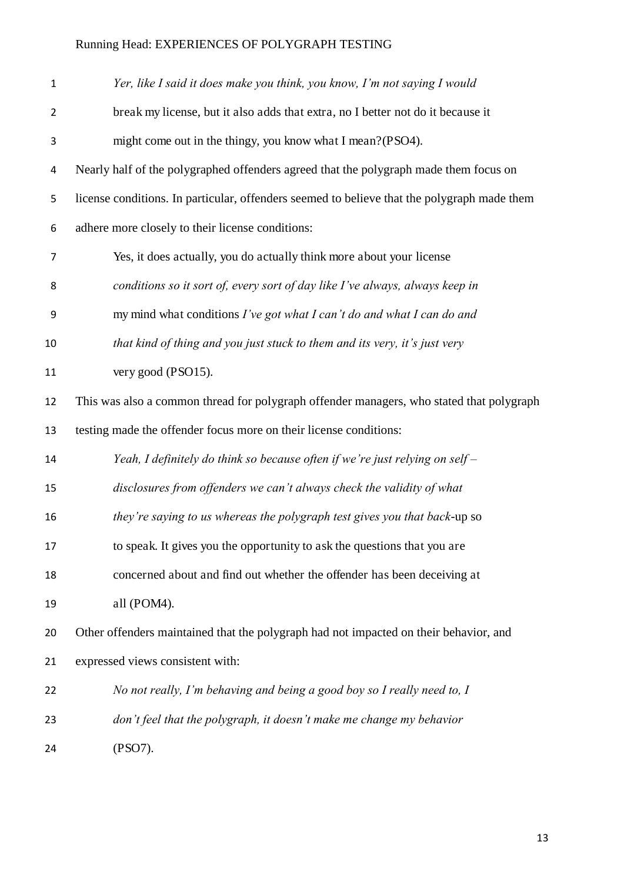| $\mathbf 1$    | Yer, like I said it does make you think, you know, I'm not saying I would                   |
|----------------|---------------------------------------------------------------------------------------------|
| $\overline{2}$ | break my license, but it also adds that extra, no I better not do it because it             |
| 3              | might come out in the thingy, you know what I mean?(PSO4).                                  |
| 4              | Nearly half of the polygraphed offenders agreed that the polygraph made them focus on       |
| 5              | license conditions. In particular, offenders seemed to believe that the polygraph made them |
| 6              | adhere more closely to their license conditions:                                            |
| $\overline{7}$ | Yes, it does actually, you do actually think more about your license                        |
| 8              | conditions so it sort of, every sort of day like I've always, always keep in                |
| 9              | my mind what conditions I've got what I can't do and what I can do and                      |
| 10             | that kind of thing and you just stuck to them and its very, it's just very                  |
| 11             | very good (PSO15).                                                                          |
| 12             | This was also a common thread for polygraph offender managers, who stated that polygraph    |
| 13             | testing made the offender focus more on their license conditions:                           |
| 14             | Yeah, I definitely do think so because often if we're just relying on self-                 |
| 15             | disclosures from offenders we can't always check the validity of what                       |
| 16             | they're saying to us whereas the polygraph test gives you that back-up so                   |
| 17             | to speak. It gives you the opportunity to ask the questions that you are                    |
| 18             | concerned about and find out whether the offender has been deceiving at                     |
| 19             | all (POM4).                                                                                 |
| 20             | Other offenders maintained that the polygraph had not impacted on their behavior, and       |
| 21             | expressed views consistent with:                                                            |
| 22             | No not really, I'm behaving and being a good boy so I really need to, I                     |
| 23             | don't feel that the polygraph, it doesn't make me change my behavior                        |
| 24             | (PSO7).                                                                                     |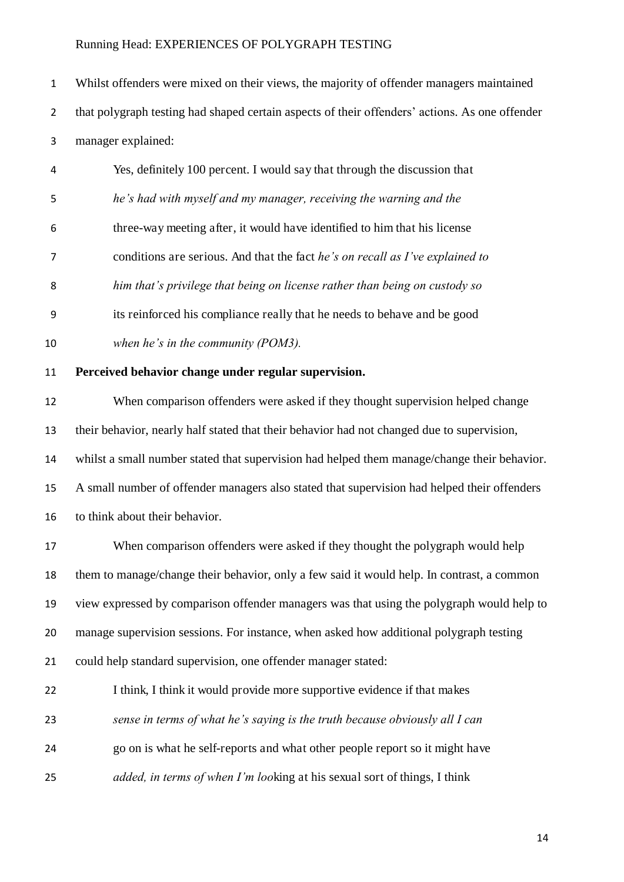Whilst offenders were mixed on their views, the majority of offender managers maintained that polygraph testing had shaped certain aspects of their offenders' actions. As one offender manager explained:

| 4  | Yes, definitely 100 percent. I would say that through the discussion that     |
|----|-------------------------------------------------------------------------------|
| 5  | he's had with myself and my manager, receiving the warning and the            |
| 6  | three-way meeting after, it would have identified to him that his license     |
|    | conditions are serious. And that the fact he's on recall as I've explained to |
| 8  | him that's privilege that being on license rather than being on custody so    |
| 9  | its reinforced his compliance really that he needs to behave and be good      |
| 10 | when he's in the community $(POM3)$ .                                         |

### **Perceived behavior change under regular supervision.**

 When comparison offenders were asked if they thought supervision helped change their behavior, nearly half stated that their behavior had not changed due to supervision, whilst a small number stated that supervision had helped them manage/change their behavior. A small number of offender managers also stated that supervision had helped their offenders to think about their behavior.

 When comparison offenders were asked if they thought the polygraph would help them to manage/change their behavior, only a few said it would help. In contrast, a common view expressed by comparison offender managers was that using the polygraph would help to manage supervision sessions. For instance, when asked how additional polygraph testing could help standard supervision, one offender manager stated:

22 I think, I think it would provide more supportive evidence if that makes *sense in terms of what he's saying is the truth because obviously all I can*  go on is what he self-reports and what other people report so it might have *added, in terms of when I'm loo*king at his sexual sort of things, I think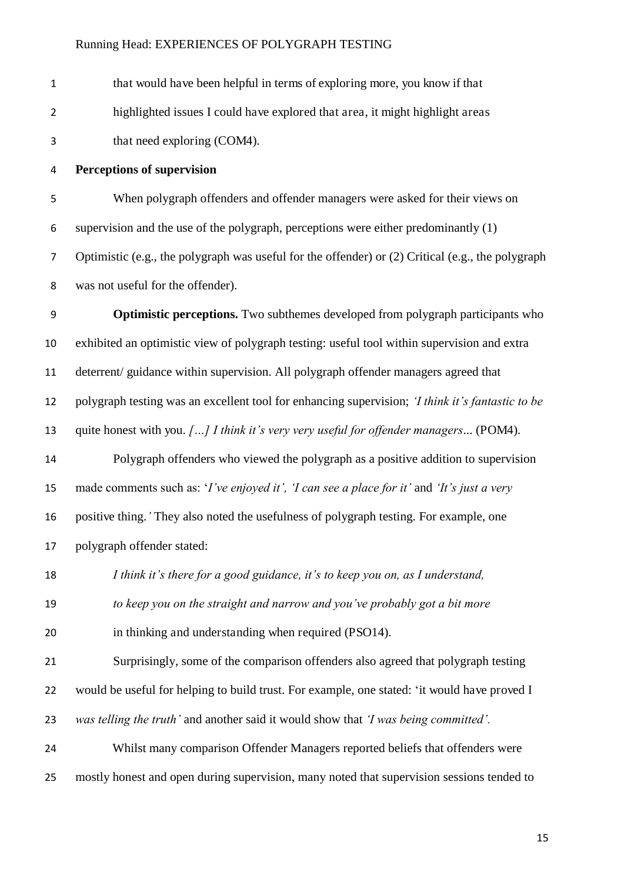| that would have been helpful in terms of exploring more, you know if that    |
|------------------------------------------------------------------------------|
| highlighted issues I could have explored that area, it might highlight areas |
| that need exploring (COM4).                                                  |

#### **Perceptions of supervision**

When polygraph offenders and offender managers were asked for their views on supervision and the use of the polygraph, perceptions were either predominantly (1) Optimistic (e.g., the polygraph was useful for the offender) or (2) Critical (e.g., the polygraph was not useful for the offender).

**Optimistic perceptions.** Two subthemes developed from polygraph participants who exhibited an optimistic view of polygraph testing: useful tool within supervision and extra deterrent/ guidance within supervision. All polygraph offender managers agreed that polygraph testing was an excellent tool for enhancing supervision; *'I think it's fantastic to be*  quite honest with you. *[…] I think it's very very useful for offender managers*... (POM4). Polygraph offenders who viewed the polygraph as a positive addition to supervision

 made comments such as: '*I've enjoyed it', 'I can see a place for it'* and *'It's just a very*  positive thing.*'* They also noted the usefulness of polygraph testing. For example, one polygraph offender stated:

*I think it's there for a good guidance, it's to keep you on, as I understand,* 

*to keep you on the straight and narrow and you've probably got a bit more* 

in thinking and understanding when required (PSO14).

 Surprisingly, some of the comparison offenders also agreed that polygraph testing would be useful for helping to build trust. For example, one stated: 'it would have proved I *was telling the truth'* and another said it would show that *'I was being committed'.* 

 Whilst many comparison Offender Managers reported beliefs that offenders were mostly honest and open during supervision, many noted that supervision sessions tended to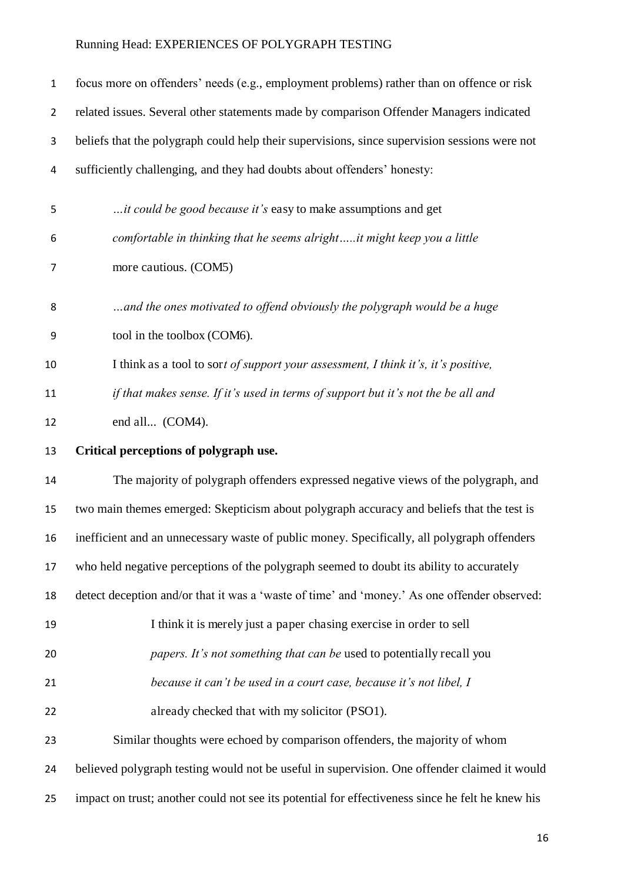| $\mathbf{1}$   | focus more on offenders' needs (e.g., employment problems) rather than on offence or risk     |
|----------------|-----------------------------------------------------------------------------------------------|
| $\overline{2}$ | related issues. Several other statements made by comparison Offender Managers indicated       |
| 3              | beliefs that the polygraph could help their supervisions, since supervision sessions were not |
| 4              | sufficiently challenging, and they had doubts about offenders' honesty:                       |
| 5              | <i>it could be good because it's</i> easy to make assumptions and get                         |
| 6              | comfortable in thinking that he seems alrightit might keep you a little                       |
| $\overline{7}$ | more cautious. (COM5)                                                                         |
| 8              | and the ones motivated to offend obviously the polygraph would be a huge                      |
| 9              | tool in the toolbox (COM6).                                                                   |
| 10             | I think as a tool to sort of support your assessment, I think it's, it's positive,            |
| 11             | if that makes sense. If it's used in terms of support but it's not the be all and             |
| 12             | end all (COM4).                                                                               |
|                |                                                                                               |
| 13             | Critical perceptions of polygraph use.                                                        |
| 14             | The majority of polygraph offenders expressed negative views of the polygraph, and            |
| 15             | two main themes emerged: Skepticism about polygraph accuracy and beliefs that the test is     |
| 16             | inefficient and an unnecessary waste of public money. Specifically, all polygraph offenders   |
| 17             | who held negative perceptions of the polygraph seemed to doubt its ability to accurately      |
| 18             | detect deception and/or that it was a 'waste of time' and 'money.' As one offender observed:  |
| 19             | I think it is merely just a paper chasing exercise in order to sell                           |
| 20             | <i>papers. It's not something that can be used to potentially recall you</i>                  |
| 21             | because it can't be used in a court case, because it's not libel, I                           |
| 22             | already checked that with my solicitor (PSO1).                                                |
| 23             | Similar thoughts were echoed by comparison offenders, the majority of whom                    |
| 24             | believed polygraph testing would not be useful in supervision. One offender claimed it would  |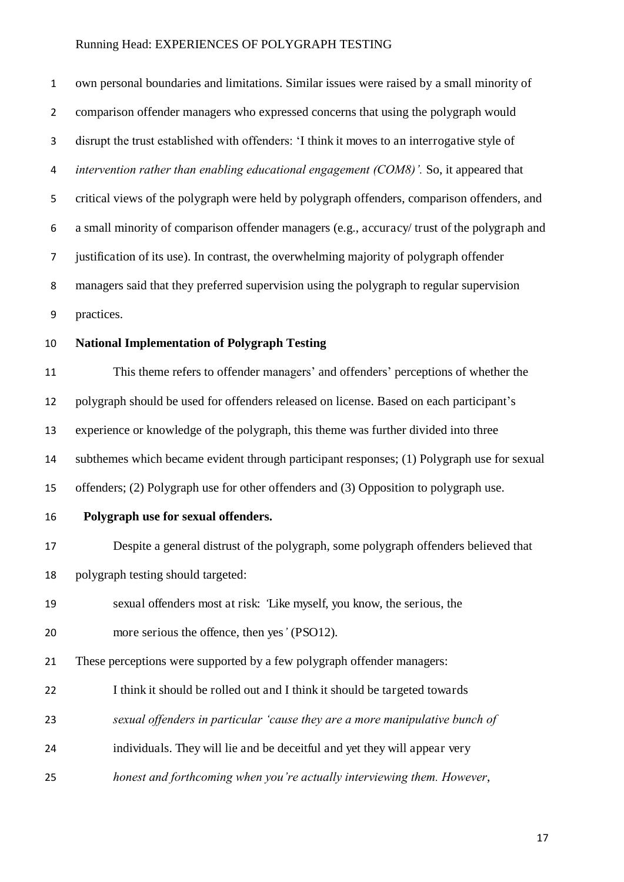| $\mathbf{1}$   | own personal boundaries and limitations. Similar issues were raised by a small minority of   |
|----------------|----------------------------------------------------------------------------------------------|
| $\overline{2}$ | comparison offender managers who expressed concerns that using the polygraph would           |
| 3              | disrupt the trust established with offenders: 'I think it moves to an interrogative style of |
| 4              | intervention rather than enabling educational engagement (COM8)'. So, it appeared that       |
| 5              | critical views of the polygraph were held by polygraph offenders, comparison offenders, and  |
| 6              | a small minority of comparison offender managers (e.g., accuracy/trust of the polygraph and  |
| $\overline{7}$ | justification of its use). In contrast, the overwhelming majority of polygraph offender      |
| 8              | managers said that they preferred supervision using the polygraph to regular supervision     |
| 9              | practices.                                                                                   |
| 10             | <b>National Implementation of Polygraph Testing</b>                                          |
| 11             | This theme refers to offender managers' and offenders' perceptions of whether the            |
| 12             | polygraph should be used for offenders released on license. Based on each participant's      |
| 13             | experience or knowledge of the polygraph, this theme was further divided into three          |
| 14             | subthemes which became evident through participant responses; (1) Polygraph use for sexual   |
| 15             | offenders; (2) Polygraph use for other offenders and (3) Opposition to polygraph use.        |
| 16             | Polygraph use for sexual offenders.                                                          |
| 17             | Despite a general distrust of the polygraph, some polygraph offenders believed that          |
| 18             | polygraph testing should targeted:                                                           |
| 19             | sexual offenders most at risk: Like myself, you know, the serious, the                       |
| 20             | more serious the offence, then yes' (PSO12).                                                 |
| 21             | These perceptions were supported by a few polygraph offender managers:                       |
| 22             | I think it should be rolled out and I think it should be targeted towards                    |
| 23             | sexual offenders in particular 'cause they are a more manipulative bunch of                  |
| 24             | individuals. They will lie and be deceitful and yet they will appear very                    |
| 25             | honest and forthcoming when you're actually interviewing them. However,                      |
|                |                                                                                              |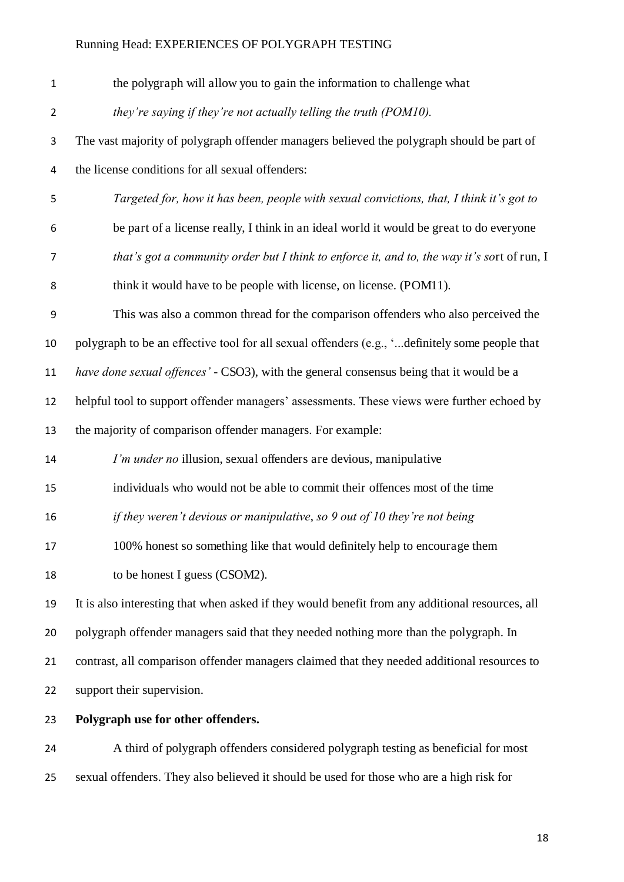| $\mathbf{1}$     | the polygraph will allow you to gain the information to challenge what                          |
|------------------|-------------------------------------------------------------------------------------------------|
| $\overline{2}$   | they're saying if they're not actually telling the truth (POM10).                               |
| 3                | The vast majority of polygraph offender managers believed the polygraph should be part of       |
| 4                | the license conditions for all sexual offenders:                                                |
| 5                | Targeted for, how it has been, people with sexual convictions, that, I think it's got to        |
| 6                | be part of a license really, I think in an ideal world it would be great to do everyone         |
| 7                | that's got a community order but I think to enforce it, and to, the way it's sort of run, I     |
| 8                | think it would have to be people with license, on license. (POM11).                             |
| $\boldsymbol{9}$ | This was also a common thread for the comparison offenders who also perceived the               |
| 10               | polygraph to be an effective tool for all sexual offenders (e.g., 'definitely some people that  |
| 11               | have done sexual offences' - CSO3), with the general consensus being that it would be a         |
| 12               | helpful tool to support offender managers' assessments. These views were further echoed by      |
| 13               | the majority of comparison offender managers. For example:                                      |
| 14               | I'm under no illusion, sexual offenders are devious, manipulative                               |
| 15               | individuals who would not be able to commit their offences most of the time                     |
| 16               | if they weren't devious or manipulative, so 9 out of 10 they're not being                       |
| 17               | 100% honest so something like that would definitely help to encourage them                      |
| 18               | to be honest I guess (CSOM2).                                                                   |
| 19               | It is also interesting that when asked if they would benefit from any additional resources, all |
| 20               | polygraph offender managers said that they needed nothing more than the polygraph. In           |
| 21               | contrast, all comparison offender managers claimed that they needed additional resources to     |
| 22               | support their supervision.                                                                      |

**Polygraph use for other offenders.** 

 A third of polygraph offenders considered polygraph testing as beneficial for most sexual offenders. They also believed it should be used for those who are a high risk for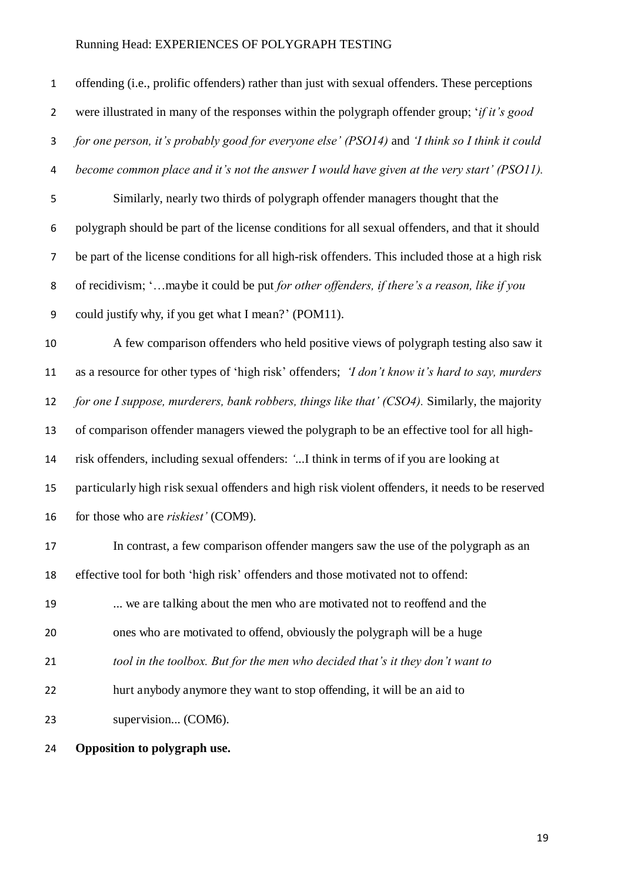offending (i.e., prolific offenders) rather than just with sexual offenders. These perceptions were illustrated in many of the responses within the polygraph offender group; '*if it's good for one person, it's probably good for everyone else' (PSO14)* and *'I think so I think it could become common place and it's not the answer I would have given at the very start' (PSO11).*  Similarly, nearly two thirds of polygraph offender managers thought that the polygraph should be part of the license conditions for all sexual offenders, and that it should be part of the license conditions for all high-risk offenders. This included those at a high risk of recidivism; '…maybe it could be put *for other offenders, if there's a reason, like if you*  could justify why, if you get what I mean?' (POM11). A few comparison offenders who held positive views of polygraph testing also saw it as a resource for other types of 'high risk' offenders; *'I don't know it's hard to say, murders for one I suppose, murderers, bank robbers, things like that' (CSO4).* Similarly, the majority of comparison offender managers viewed the polygraph to be an effective tool for all high- risk offenders, including sexual offenders: *'*...I think in terms of if you are looking at particularly high risk sexual offenders and high risk violent offenders, it needs to be reserved for those who are *riskiest'* (COM9). In contrast, a few comparison offender mangers saw the use of the polygraph as an effective tool for both 'high risk' offenders and those motivated not to offend: ... we are talking about the men who are motivated not to reoffend and the ones who are motivated to offend, obviously the polygraph will be a huge *tool in the toolbox. But for the men who decided that's it they don't want to* 

hurt anybody anymore they want to stop offending, it will be an aid to

23 supervision... (COM6).

### **Opposition to polygraph use.**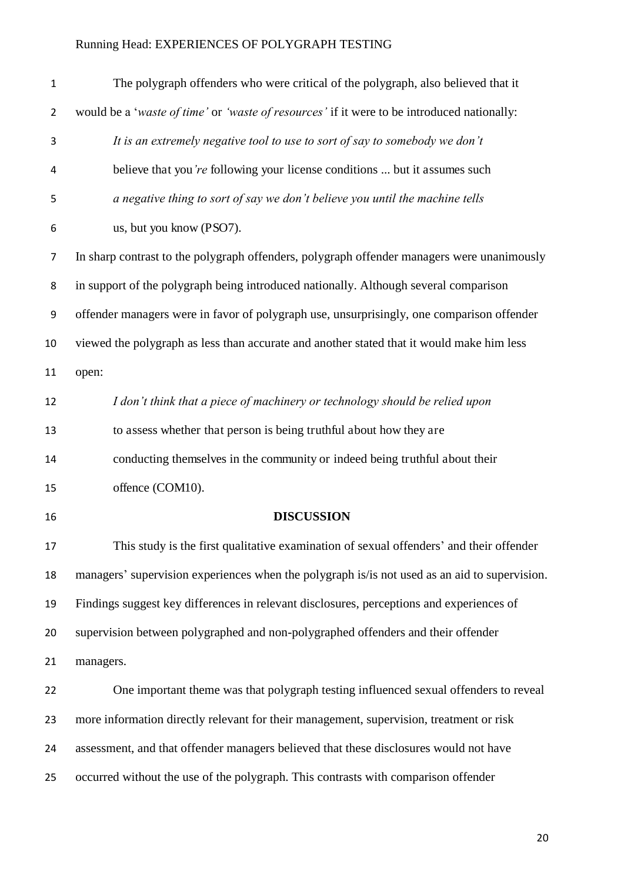| $\mathbf 1$      | The polygraph offenders who were critical of the polygraph, also believed that it             |
|------------------|-----------------------------------------------------------------------------------------------|
| $\overline{2}$   | would be a 'waste of time' or 'waste of resources' if it were to be introduced nationally:    |
| 3                | It is an extremely negative tool to use to sort of say to somebody we don't                   |
| 4                | believe that you're following your license conditions  but it assumes such                    |
| 5                | a negative thing to sort of say we don't believe you until the machine tells                  |
| 6                | us, but you know (PSO7).                                                                      |
| 7                | In sharp contrast to the polygraph offenders, polygraph offender managers were unanimously    |
| 8                | in support of the polygraph being introduced nationally. Although several comparison          |
| $\boldsymbol{9}$ | offender managers were in favor of polygraph use, unsurprisingly, one comparison offender     |
| 10               | viewed the polygraph as less than accurate and another stated that it would make him less     |
| 11               | open:                                                                                         |
| 12               | I don't think that a piece of machinery or technology should be relied upon                   |
| 13               | to assess whether that person is being truthful about how they are                            |
| 14               | conducting themselves in the community or indeed being truthful about their                   |
| 15               | offence (COM10).                                                                              |
| 16               | <b>DISCUSSION</b>                                                                             |
| 17               | This study is the first qualitative examination of sexual offenders' and their offender       |
| 18               | managers' supervision experiences when the polygraph is/is not used as an aid to supervision. |
| 19               | Findings suggest key differences in relevant disclosures, perceptions and experiences of      |
| 20               | supervision between polygraphed and non-polygraphed offenders and their offender              |
| 21               | managers.                                                                                     |
| 22               | One important theme was that polygraph testing influenced sexual offenders to reveal          |
| 23               | more information directly relevant for their management, supervision, treatment or risk       |
| 24               | assessment, and that offender managers believed that these disclosures would not have         |
| 25               | occurred without the use of the polygraph. This contrasts with comparison offender            |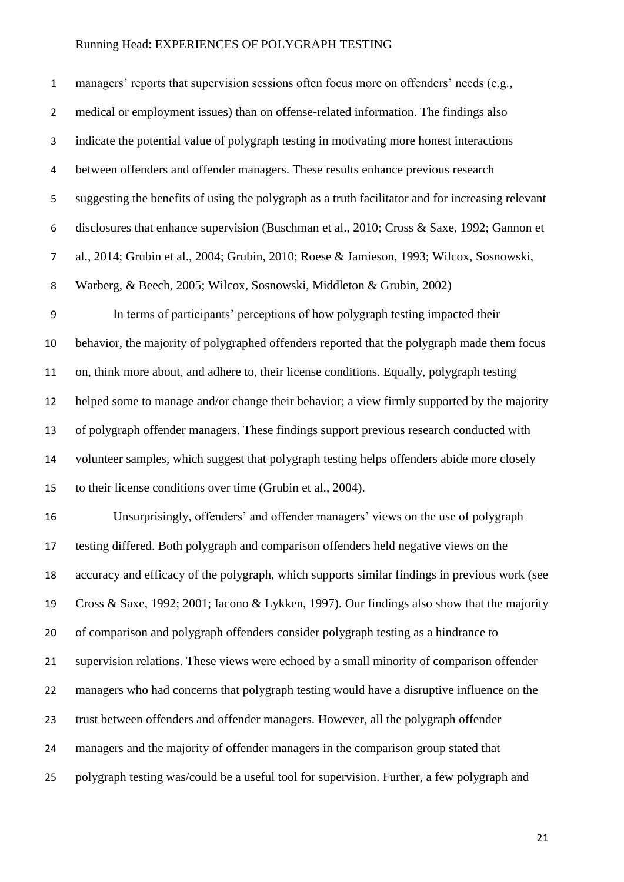| $\mathbf 1$             | managers' reports that supervision sessions often focus more on offenders' needs (e.g.,           |
|-------------------------|---------------------------------------------------------------------------------------------------|
| $\overline{2}$          | medical or employment issues) than on offense-related information. The findings also              |
| 3                       | indicate the potential value of polygraph testing in motivating more honest interactions          |
| $\overline{\mathbf{4}}$ | between offenders and offender managers. These results enhance previous research                  |
| 5                       | suggesting the benefits of using the polygraph as a truth facilitator and for increasing relevant |
| 6                       | disclosures that enhance supervision (Buschman et al., 2010; Cross & Saxe, 1992; Gannon et        |
| $\overline{7}$          | al., 2014; Grubin et al., 2004; Grubin, 2010; Roese & Jamieson, 1993; Wilcox, Sosnowski,          |
| 8                       | Warberg, & Beech, 2005; Wilcox, Sosnowski, Middleton & Grubin, 2002)                              |
| 9                       | In terms of participants' perceptions of how polygraph testing impacted their                     |
| 10                      | behavior, the majority of polygraphed offenders reported that the polygraph made them focus       |
| 11                      | on, think more about, and adhere to, their license conditions. Equally, polygraph testing         |
| 12                      | helped some to manage and/or change their behavior; a view firmly supported by the majority       |
| 13                      | of polygraph offender managers. These findings support previous research conducted with           |
| 14                      | volunteer samples, which suggest that polygraph testing helps offenders abide more closely        |
| 15                      | to their license conditions over time (Grubin et al., 2004).                                      |
| 16                      | Unsurprisingly, offenders' and offender managers' views on the use of polygraph                   |
| 17                      | testing differed. Both polygraph and comparison offenders held negative views on the              |
| 18                      | accuracy and efficacy of the polygraph, which supports similar findings in previous work (see     |
| 19                      | Cross & Saxe, 1992; 2001; Iacono & Lykken, 1997). Our findings also show that the majority        |
| 20                      | of comparison and polygraph offenders consider polygraph testing as a hindrance to                |
| 21                      | supervision relations. These views were echoed by a small minority of comparison offender         |
| 22                      | managers who had concerns that polygraph testing would have a disruptive influence on the         |
| 23                      | trust between offenders and offender managers. However, all the polygraph offender                |
| 24                      | managers and the majority of offender managers in the comparison group stated that                |
| 25                      | polygraph testing was/could be a useful tool for supervision. Further, a few polygraph and        |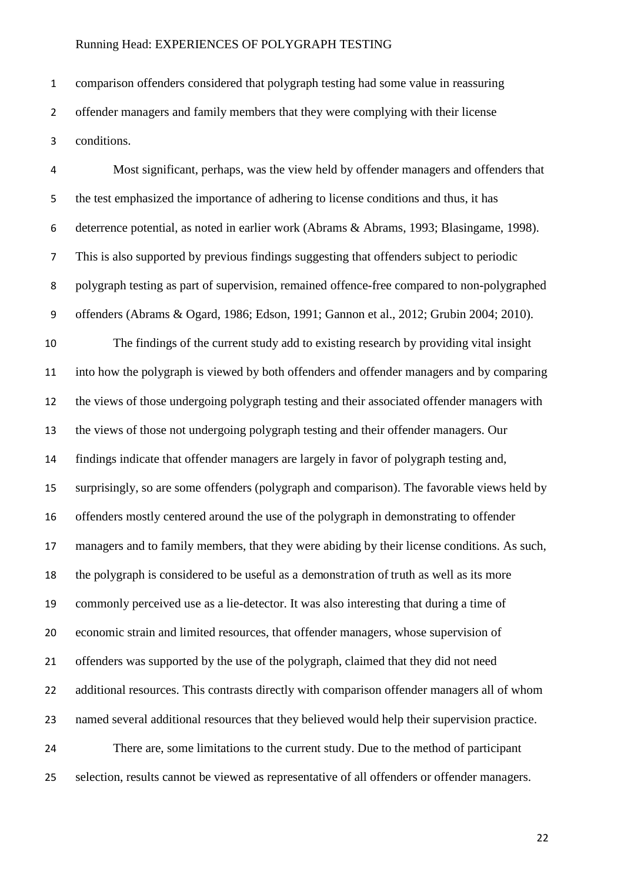comparison offenders considered that polygraph testing had some value in reassuring offender managers and family members that they were complying with their license conditions.

Most significant, perhaps, was the view held by offender managers and offenders that the test emphasized the importance of adhering to license conditions and thus, it has deterrence potential, as noted in earlier work (Abrams & Abrams, 1993; Blasingame, 1998). This is also supported by previous findings suggesting that offenders subject to periodic polygraph testing as part of supervision, remained offence-free compared to non-polygraphed offenders (Abrams & Ogard, 1986; Edson, 1991; Gannon et al., 2012; Grubin 2004; 2010). The findings of the current study add to existing research by providing vital insight into how the polygraph is viewed by both offenders and offender managers and by comparing the views of those undergoing polygraph testing and their associated offender managers with the views of those not undergoing polygraph testing and their offender managers. Our findings indicate that offender managers are largely in favor of polygraph testing and, surprisingly, so are some offenders (polygraph and comparison). The favorable views held by offenders mostly centered around the use of the polygraph in demonstrating to offender managers and to family members, that they were abiding by their license conditions. As such, the polygraph is considered to be useful as a demonstration of truth as well as its more commonly perceived use as a lie-detector. It was also interesting that during a time of economic strain and limited resources, that offender managers, whose supervision of offenders was supported by the use of the polygraph, claimed that they did not need 22 additional resources. This contrasts directly with comparison offender managers all of whom named several additional resources that they believed would help their supervision practice. There are, some limitations to the current study. Due to the method of participant 25 selection, results cannot be viewed as representative of all offenders or offender managers.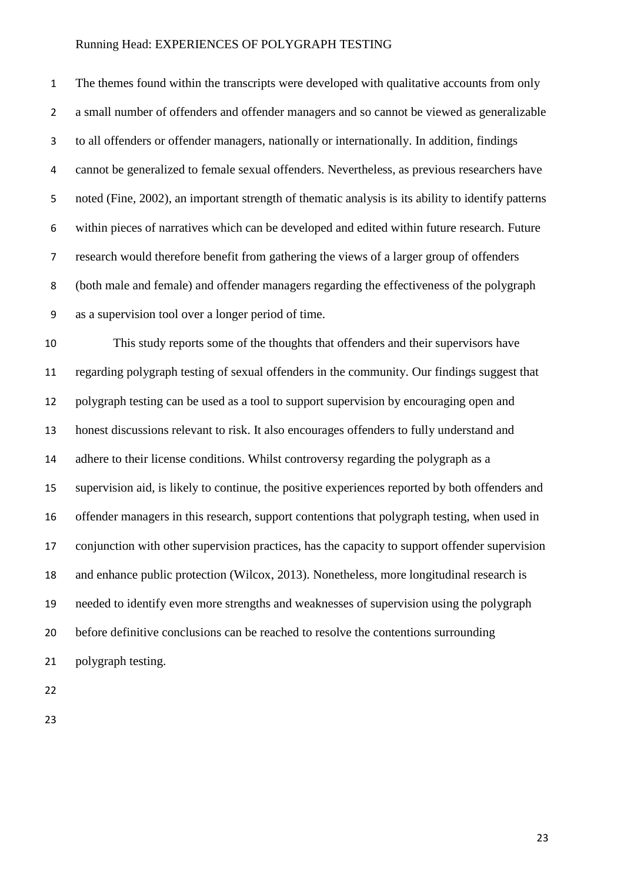The themes found within the transcripts were developed with qualitative accounts from only a small number of offenders and offender managers and so cannot be viewed as generalizable to all offenders or offender managers, nationally or internationally. In addition, findings cannot be generalized to female sexual offenders. Nevertheless, as previous researchers have noted (Fine, 2002), an important strength of thematic analysis is its ability to identify patterns within pieces of narratives which can be developed and edited within future research. Future research would therefore benefit from gathering the views of a larger group of offenders (both male and female) and offender managers regarding the effectiveness of the polygraph as a supervision tool over a longer period of time.

 This study reports some of the thoughts that offenders and their supervisors have regarding polygraph testing of sexual offenders in the community. Our findings suggest that polygraph testing can be used as a tool to support supervision by encouraging open and honest discussions relevant to risk. It also encourages offenders to fully understand and adhere to their license conditions. Whilst controversy regarding the polygraph as a supervision aid, is likely to continue, the positive experiences reported by both offenders and offender managers in this research, support contentions that polygraph testing, when used in conjunction with other supervision practices, has the capacity to support offender supervision and enhance public protection (Wilcox, 2013). Nonetheless, more longitudinal research is needed to identify even more strengths and weaknesses of supervision using the polygraph before definitive conclusions can be reached to resolve the contentions surrounding polygraph testing.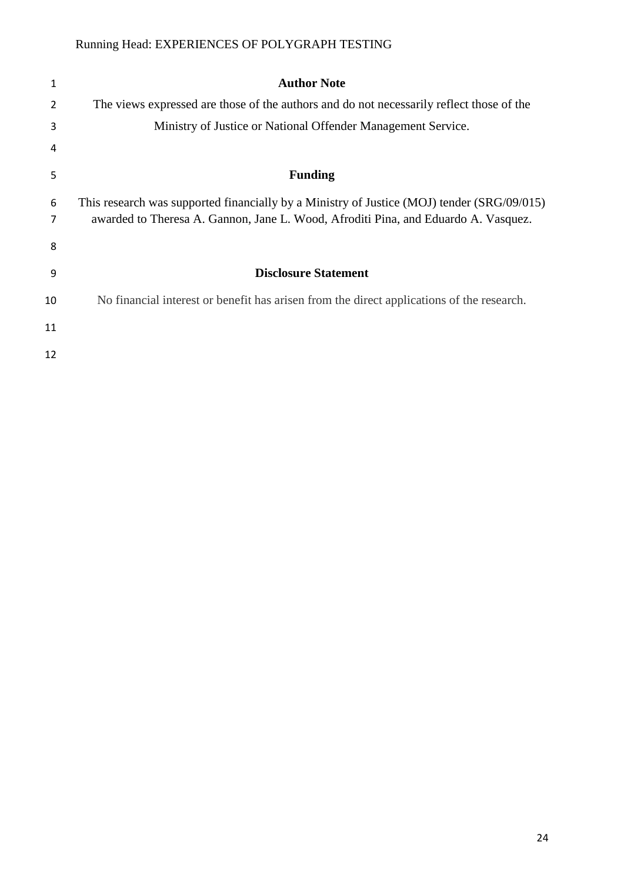| 1      | <b>Author Note</b>                                                                                                                                                               |
|--------|----------------------------------------------------------------------------------------------------------------------------------------------------------------------------------|
| 2      | The views expressed are those of the authors and do not necessarily reflect those of the                                                                                         |
| 3      | Ministry of Justice or National Offender Management Service.                                                                                                                     |
| 4      |                                                                                                                                                                                  |
| 5      | <b>Funding</b>                                                                                                                                                                   |
| 6<br>7 | This research was supported financially by a Ministry of Justice (MOJ) tender (SRG/09/015)<br>awarded to Theresa A. Gannon, Jane L. Wood, Afroditi Pina, and Eduardo A. Vasquez. |
| 8      |                                                                                                                                                                                  |
| 9      | <b>Disclosure Statement</b>                                                                                                                                                      |
| 10     | No financial interest or benefit has arisen from the direct applications of the research.                                                                                        |
| 11     |                                                                                                                                                                                  |
| 12     |                                                                                                                                                                                  |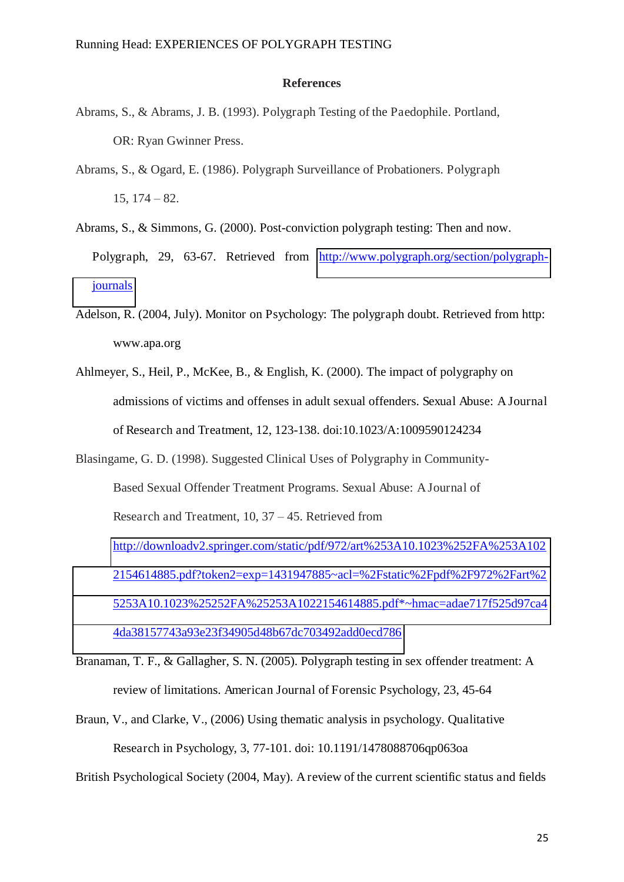#### **References**

- Abrams, S., & Abrams, J. B. (1993). Polygraph Testing of the Paedophile. Portland, OR: Ryan Gwinner Press.
- Abrams, S., & Ogard, E. (1986). Polygraph Surveillance of Probationers. Polygraph 15, 174 – 82.
- Abrams, S., & Simmons, G. (2000). Post-conviction polygraph testing: Then and now. Polygraph, 29, 63-67. Retrieved from [http://www.polygraph.org/section/polygraph](http://www.polygraph.org/section/polygraph-journals)[journals](http://www.polygraph.org/section/polygraph-journals)
- Adelson, R. (2004, July). Monitor on Psychology: The polygraph doubt. Retrieved from http: www.apa.org
- Ahlmeyer, S., Heil, P., McKee, B., & English, K. (2000). The impact of polygraphy on admissions of victims and offenses in adult sexual offenders. Sexual Abuse: A Journal of Research and Treatment, 12, 123-138. doi:10.1023/A:1009590124234
- Blasingame, G. D. (1998). Suggested Clinical Uses of Polygraphy in Community-Based Sexual Offender Treatment Programs. Sexual Abuse: A Journal of Research and Treatment, 10, 37 – 45. Retrieved from [http://downloadv2.springer.com/static/pdf/972/art%253A10.1023%252FA%253A102](http://downloadv2.springer.com/static/pdf/972/art%253A10.1023%252FA%253A1022154614885.pdf?token2=exp=1431947885~acl=%2Fstatic%2Fpdf%2F972%2Fart%25253A10.1023%25252FA%25253A1022154614885.pdf*~hmac=adae717f525d97ca44da38157743a93e23f34905d48b67dc703492add0ecd786) [2154614885.pdf?token2=exp=1431947885~acl=%2Fstatic%2Fpdf%2F972%2Fart%2](http://downloadv2.springer.com/static/pdf/972/art%253A10.1023%252FA%253A1022154614885.pdf?token2=exp=1431947885~acl=%2Fstatic%2Fpdf%2F972%2Fart%25253A10.1023%25252FA%25253A1022154614885.pdf*~hmac=adae717f525d97ca44da38157743a93e23f34905d48b67dc703492add0ecd786) [5253A10.1023%25252FA%25253A1022154614885.pdf\\*~hmac=adae717f525d97ca4](http://downloadv2.springer.com/static/pdf/972/art%253A10.1023%252FA%253A1022154614885.pdf?token2=exp=1431947885~acl=%2Fstatic%2Fpdf%2F972%2Fart%25253A10.1023%25252FA%25253A1022154614885.pdf*~hmac=adae717f525d97ca44da38157743a93e23f34905d48b67dc703492add0ecd786) [4da38157743a93e23f34905d48b67dc703492add0ecd786](http://downloadv2.springer.com/static/pdf/972/art%253A10.1023%252FA%253A1022154614885.pdf?token2=exp=1431947885~acl=%2Fstatic%2Fpdf%2F972%2Fart%25253A10.1023%25252FA%25253A1022154614885.pdf*~hmac=adae717f525d97ca44da38157743a93e23f34905d48b67dc703492add0ecd786)
- Branaman, T. F., & Gallagher, S. N. (2005). Polygraph testing in sex offender treatment: A review of limitations. American Journal of Forensic Psychology, 23, 45-64
- Braun, V., and Clarke, V., (2006) Using thematic analysis in psychology. Qualitative Research in Psychology, 3, 77-101. doi: 10.1191/1478088706qp063oa
- British Psychological Society (2004, May). A review of the current scientific status and fields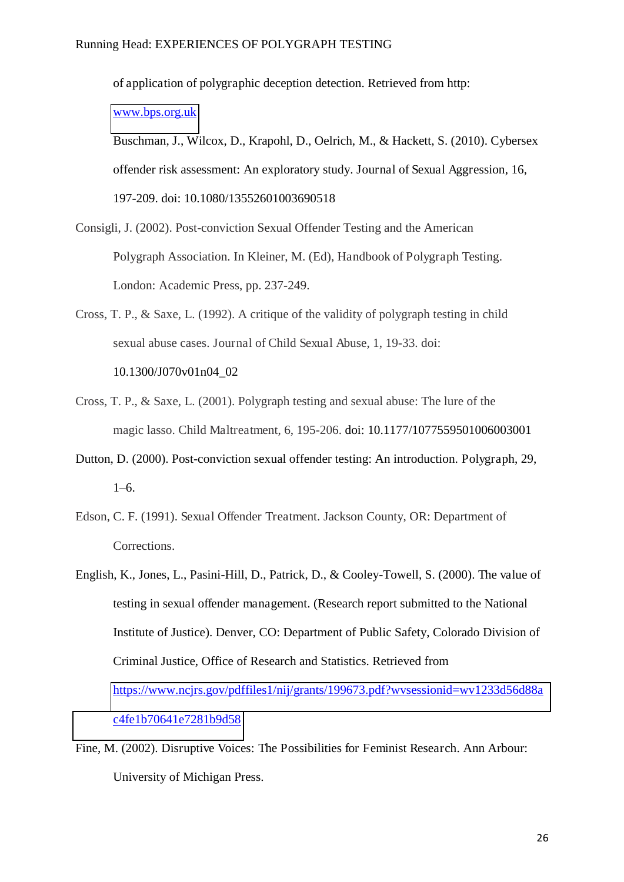of application of polygraphic deception detection. Retrieved from http: [www.bps.org.uk](http://www.bps.org.uk/) 

Buschman, J., Wilcox, D., Krapohl, D., Oelrich, M., & Hackett, S. (2010). Cybersex offender risk assessment: An exploratory study. Journal of Sexual Aggression, 16, 197-209. doi: 10.1080/13552601003690518

- Consigli, J. (2002). Post-conviction Sexual Offender Testing and the American Polygraph Association. In Kleiner, M. (Ed), Handbook of Polygraph Testing. London: Academic Press, pp. 237-249.
- Cross, T. P., & Saxe, L. (1992). A critique of the validity of polygraph testing in child sexual abuse cases. Journal of Child Sexual Abuse, 1, 19-33. doi: 10.1300/J070v01n04\_02
- Cross, T. P., & Saxe, L. (2001). Polygraph testing and sexual abuse: The lure of the magic lasso. Child Maltreatment, 6, 195-206. doi: 10.1177/1077559501006003001
- Dutton, D. (2000). Post-conviction sexual offender testing: An introduction. Polygraph, 29, 1–6.
- Edson, C. F. (1991). Sexual Offender Treatment. Jackson County, OR: Department of Corrections.
- English, K., Jones, L., Pasini-Hill, D., Patrick, D., & Cooley-Towell, S. (2000). The value of testing in sexual offender management. (Research report submitted to the National Institute of Justice). Denver, CO: Department of Public Safety, Colorado Division of Criminal Justice, Office of Research and Statistics. Retrieved from [https://www.ncjrs.gov/pdffiles1/nij/grants/199673.pdf?wvsessionid=wv1233d56d88a](https://www.ncjrs.gov/pdffiles1/nij/grants/199673.pdf?wvsessionid=wv1233d56d88ac4fe1b70641e7281b9d58) [c4fe1b70641e7281b9d58](https://www.ncjrs.gov/pdffiles1/nij/grants/199673.pdf?wvsessionid=wv1233d56d88ac4fe1b70641e7281b9d58)
- Fine, M. (2002). Disruptive Voices: The Possibilities for Feminist Research. Ann Arbour: University of Michigan Press.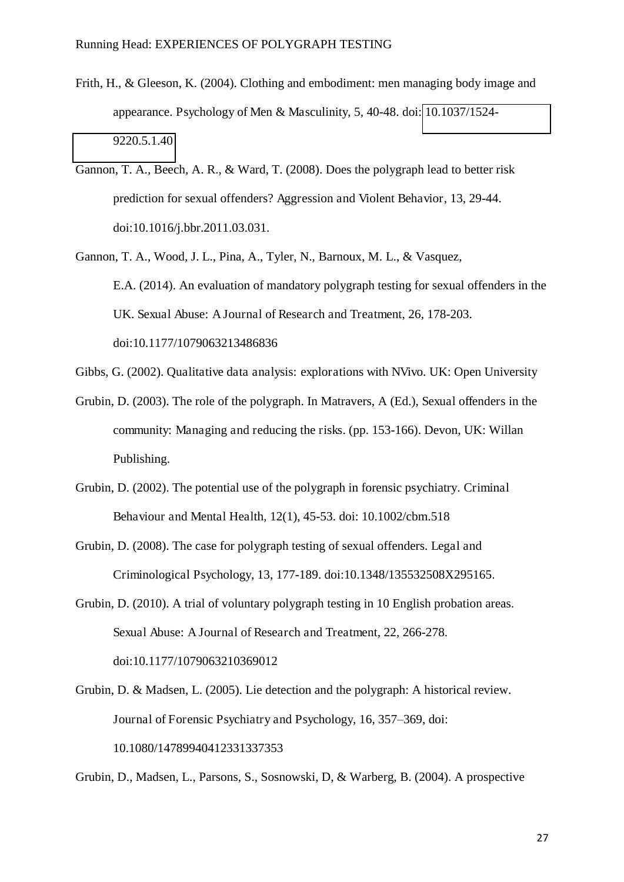- Frith, H., & Gleeson, K. (2004). Clothing and embodiment: men managing body image and appearance. Psychology of Men & Masculinity, 5, 40-48. doi: [10.1037/1524-](http://psycnet.apa.org/doi/10.1037/1524-9220.5.1.40) [9220.5.1.40](http://psycnet.apa.org/doi/10.1037/1524-9220.5.1.40)
- Gannon, T. A., Beech, A. R., & Ward, T. (2008). Does the polygraph lead to better risk prediction for sexual offenders? Aggression and Violent Behavior, 13, 29-44. doi:10.1016/j.bbr.2011.03.031.
- Gannon, T. A., Wood, J. L., Pina, A., Tyler, N., Barnoux, M. L., & Vasquez, E.A. (2014). An evaluation of mandatory polygraph testing for sexual offenders in the UK. Sexual Abuse: A Journal of Research and Treatment, 26, 178-203. doi:10.1177/1079063213486836
- Gibbs, G. (2002). Qualitative data analysis: explorations with NVivo. UK: Open University
- Grubin, D. (2003). The role of the polygraph. In Matravers, A (Ed.), Sexual offenders in the community: Managing and reducing the risks. (pp. 153-166). Devon, UK: Willan Publishing.
- Grubin, D. (2002). The potential use of the polygraph in forensic psychiatry. Criminal Behaviour and Mental Health, 12(1), 45-53. doi: 10.1002/cbm.518
- Grubin, D. (2008). The case for polygraph testing of sexual offenders. Legal and Criminological Psychology, 13, 177-189. doi:10.1348/135532508X295165.
- Grubin, D. (2010). A trial of voluntary polygraph testing in 10 English probation areas. Sexual Abuse: A Journal of Research and Treatment, 22, 266-278. doi:10.1177/1079063210369012
- Grubin, D. & Madsen, L. (2005). Lie detection and the polygraph: A historical review. Journal of Forensic Psychiatry and Psychology, 16, 357–369, doi: 10.1080/14789940412331337353

Grubin, D., Madsen, L., Parsons, S., Sosnowski, D, & Warberg, B. (2004). A prospective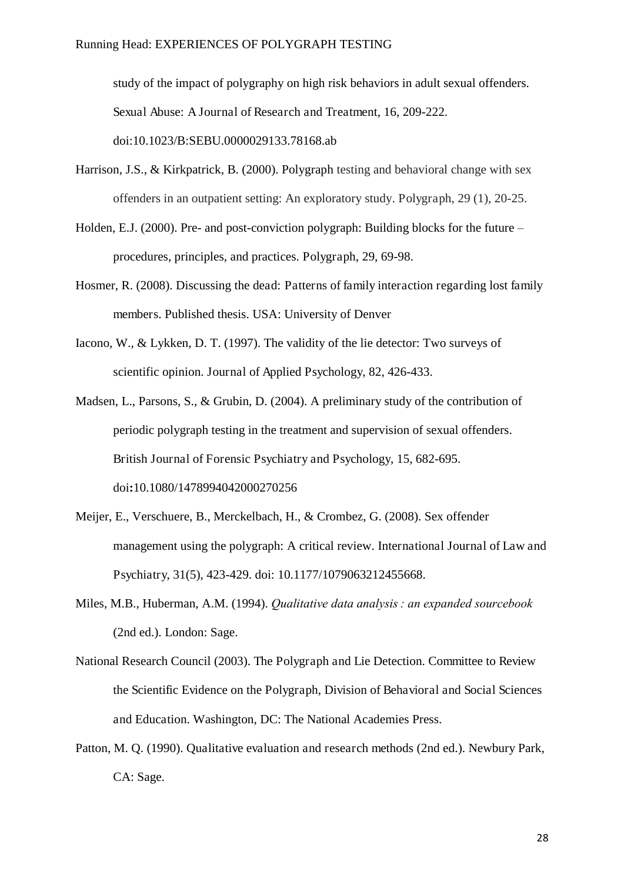study of the impact of polygraphy on high risk behaviors in adult sexual offenders. Sexual Abuse: A Journal of Research and Treatment, 16, 209-222. doi:10.1023/B:SEBU.0000029133.78168.ab

- Harrison, J.S., & Kirkpatrick, B. (2000). Polygraph testing and behavioral change with sex offenders in an outpatient setting: An exploratory study. Polygraph, 29 (1), 20-25.
- Holden, E.J. (2000). Pre- and post-conviction polygraph: Building blocks for the future procedures, principles, and practices. Polygraph, 29, 69-98.
- Hosmer, R. (2008). Discussing the dead: Patterns of family interaction regarding lost family members. Published thesis. USA: University of Denver
- Iacono, W., & Lykken, D. T. (1997). The validity of the lie detector: Two surveys of scientific opinion. Journal of Applied Psychology, 82, 426-433.
- Madsen, L., Parsons, S., & Grubin, D. (2004). A preliminary study of the contribution of periodic polygraph testing in the treatment and supervision of sexual offenders. British Journal of Forensic Psychiatry and Psychology, 15, 682-695. doi**:**10.1080/1478994042000270256
- Meijer, E., Verschuere, B., Merckelbach, H., & Crombez, G. (2008). Sex offender management using the polygraph: A critical review. International Journal of Law and Psychiatry, 31(5), 423-429. doi: 10.1177/1079063212455668.
- Miles, M.B., Huberman, A.M. (1994). *Qualitative data analysis : an expanded sourcebook* (2nd ed.). London: Sage.
- National Research Council (2003). The Polygraph and Lie Detection. Committee to Review the Scientific Evidence on the Polygraph, Division of Behavioral and Social Sciences and Education. Washington, DC: The National Academies Press.
- Patton, M. Q. (1990). Qualitative evaluation and research methods (2nd ed.). Newbury Park, CA: Sage.